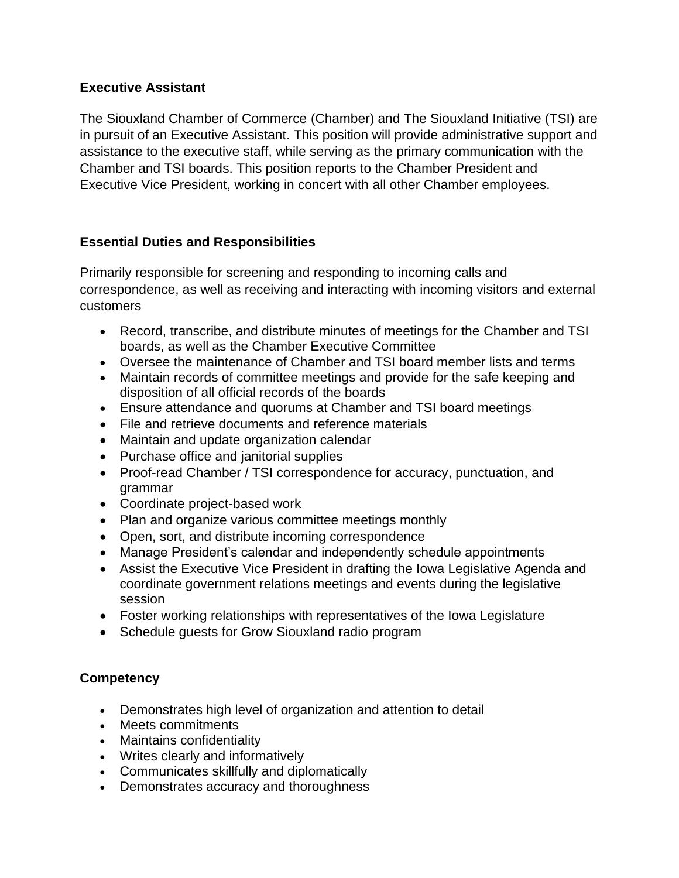## **Executive Assistant**

The Siouxland Chamber of Commerce (Chamber) and The Siouxland Initiative (TSI) are in pursuit of an Executive Assistant. This position will provide administrative support and assistance to the executive staff, while serving as the primary communication with the Chamber and TSI boards. This position reports to the Chamber President and Executive Vice President, working in concert with all other Chamber employees.

## **Essential Duties and Responsibilities**

Primarily responsible for screening and responding to incoming calls and correspondence, as well as receiving and interacting with incoming visitors and external customers

- Record, transcribe, and distribute minutes of meetings for the Chamber and TSI boards, as well as the Chamber Executive Committee
- Oversee the maintenance of Chamber and TSI board member lists and terms
- Maintain records of committee meetings and provide for the safe keeping and disposition of all official records of the boards
- Ensure attendance and quorums at Chamber and TSI board meetings
- File and retrieve documents and reference materials
- Maintain and update organization calendar
- Purchase office and janitorial supplies
- Proof-read Chamber / TSI correspondence for accuracy, punctuation, and grammar
- Coordinate project-based work
- Plan and organize various committee meetings monthly
- Open, sort, and distribute incoming correspondence
- Manage President's calendar and independently schedule appointments
- Assist the Executive Vice President in drafting the Iowa Legislative Agenda and coordinate government relations meetings and events during the legislative session
- Foster working relationships with representatives of the Iowa Legislature
- Schedule guests for Grow Siouxland radio program

## **Competency**

- Demonstrates high level of organization and attention to detail
- Meets commitments
- Maintains confidentiality
- Writes clearly and informatively
- Communicates skillfully and diplomatically
- Demonstrates accuracy and thoroughness